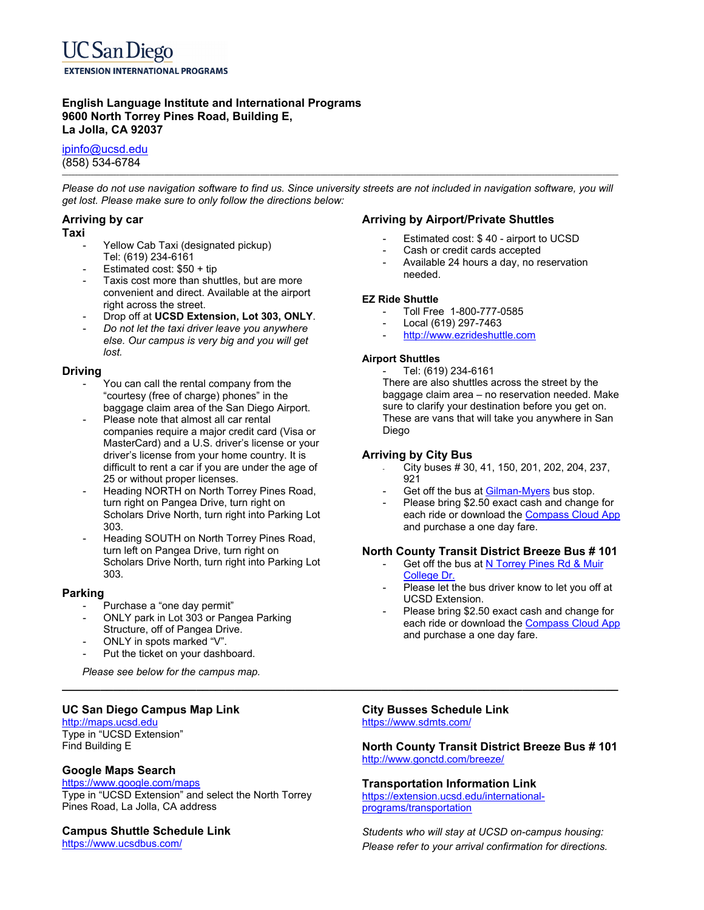### **English Language Institute and International Programs 9600 North Torrey Pines Road, Building E, La Jolla, CA 92037**

ipinfo@ucsd.edu (858) 534-6784

**\_\_\_\_\_\_\_\_\_\_\_\_\_\_\_\_\_\_\_\_\_\_\_\_\_\_\_\_\_\_\_\_\_\_\_\_\_\_\_\_\_\_\_\_\_\_\_\_\_\_\_\_\_\_\_\_\_\_\_\_\_\_\_\_\_\_\_\_\_\_\_\_\_\_\_\_\_\_\_\_\_\_\_\_\_\_\_\_\_\_\_\_\_\_\_\_\_\_\_\_\_\_\_\_\_\_\_\_\_\_\_\_\_\_\_\_\_\_\_\_\_\_\_\_\_\_\_\_\_\_\_\_\_\_\_\_\_\_\_\_\_\_\_\_\_\_\_\_\_\_\_\_\_\_\_\_\_\_\_\_\_\_\_\_\_\_\_\_\_\_\_\_\_\_**  *Please do not use navigation software to find us. Since university streets are not included in navigation software, you will get lost. Please make sure to only follow the directions below:* 

### **Arriving by car**

#### **Taxi**

- Yellow Cab Taxi (designated pickup) Tel: (619) 234-6161
- Estimated cost: \$50 + tip
- Taxis cost more than shuttles, but are more convenient and direct. Available at the airport right across the street.
- Drop off at **UCSD Extension, Lot 303, ONLY**.
- *Do not let the taxi driver leave you anywhere else. Our campus is very big and you will get lost.*

#### **Driving**

- You can call the rental company from the "courtesy (free of charge) phones" in the baggage claim area of the San Diego Airport.
- Please note that almost all car rental companies require a major credit card (Visa or MasterCard) and a U.S. driver's license or your driver's license from your home country. It is difficult to rent a car if you are under the age of 25 or without proper licenses.
- Heading NORTH on North Torrey Pines Road, turn right on Pangea Drive, turn right on Scholars Drive North, turn right into Parking Lot 303.
- Heading SOUTH on North Torrey Pines Road, turn left on Pangea Drive, turn right on Scholars Drive North, turn right into Parking Lot 303.

### **Parking**

- Purchase a "one day permit"
- ONLY park in Lot 303 or Pangea Parking Structure, off of Pangea Drive.
- ONLY in spots marked "V".
- Put the ticket on your dashboard.

 *Please see below for the campus map.* 

# **UC San Diego Campus Map Link**

http://maps.ucsd.edu Type in "UCSD Extension" Find Building E

# **Google Maps Search**

#### https://www.google.com/maps

Type in "UCSD Extension" and select the North Torrey Pines Road, La Jolla, CA address

# **Campus Shuttle Schedule Link**

https://www.ucsdbus.com/

### **Arriving by Airport/Private Shuttles**

- Estimated cost: \$40 airport to UCSD
- Cash or credit cards accepted
- Available 24 hours a day, no reservation needed.

#### **EZ Ride Shuttle**

- Toll Free 1-800-777-0585
- Local (619) 297-7463
- http://www.ezrideshuttle.com

#### **Airport Shuttles**

- Tel: (619) 234-6161

There are also shuttles across the street by the baggage claim area – no reservation needed. Make sure to clarify your destination before you get on. These are vans that will take you anywhere in San Diego

### **Arriving by City Bus**

- City buses # 30, 41, 150, 201, 202, 204, 237, 921
- Get off the bus at Gilman-Myers bus stop.
- Please bring \$2.50 exact cash and change for each ride or download the Compass Cloud App and purchase a one day fare.

# **North County Transit District Breeze Bus # 101**

- Get off the bus at N Torrey Pines Rd & Muir College Dr.
- Please let the bus driver know to let you off at UCSD Extension.
- Please bring \$2.50 exact cash and change for each ride or download the Compass Cloud App and purchase a one day fare.

#### **City Busses Schedule Link**  https://www.sdmts.com/

**\_\_\_\_\_\_\_\_\_\_\_\_\_\_\_\_\_\_\_\_\_\_\_\_\_\_\_\_\_\_\_\_\_\_\_\_\_\_\_\_\_\_\_\_\_\_\_\_\_\_\_\_\_\_\_\_\_\_\_\_\_\_\_\_\_\_\_\_\_\_\_\_\_\_\_\_\_\_\_\_\_\_\_\_\_\_\_** 

**North County Transit District Breeze Bus # 101**  http://www.gonctd.com/breeze/

# **Transportation Information Link**

https://extension.ucsd.edu/internationalprograms/transportation

*Students who will stay at UCSD on-campus housing: Please refer to your arrival confirmation for directions.*